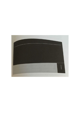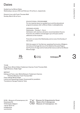#### Dates

Guided tour by Miriam Elebe: Wednesdays January 24th and February 7th at 6 p.m., respectively

Director's tour with Frank-Thorsten Moll: Sunday, March 4th at 3 p.m.

#### EDUCATIONAL PROGRAMME

For any inquiries about our guided tours and the educational programme please refer to Miriam Elebe: m.elebe@ikob.be

OPENING HOURS Wednesday—Sunday 1—6 p.m. Admission: with voluntary donation; recommendation 6 euros Free entry for children and teenagers up to 18 years and for adherents of the museum

Free entry on every first Wednesday and on every first Sunday of the month

With the support of the German-speaking Community of Belgium, the Cultural Heritage Service of the Wallonia-Brussels Region, the Province of Liège and its Cultural Services as well as the Meuse-Rhine Euregio







巴

TEAM Serge Cloot, Miriam Elebe, Friedemann Hoerner, Frank-Thorsten Moll, Ingrid Mossoux, Nadja Vogel

IMPRINT

Editing and Texts: Jean-Michel Botquin, Friedemann Hoerner, Christian Malycha, Frank-Thorsten Moll Copy-editing: Miriam Elebe Layout and typesetting: Kasper Zwaaneveld for possible.is Translations: George Frederick Takis

IKOB—Museum of Contemporary Art Rotenberg 12b 4700 Eupen, Belgium +32 87 56 01 10 info@ikob.be www.ikob.be



Museum für Zeitgenössische Kunst /Musée d'Art Contemporain /Museum of Contemporary Art

André Butzer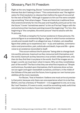#### Glossary, Part IV: Freedom

Right at the very beginning, Butzer "contaminated [his] canvases with themes that don't belong in them." This contamination was "the legitimization for [his] resolution to cleanse them before the eyes of one and all for the rest of [his] life." Although it appears to him as if he were completing something "that others began. These are historical, traditional lines that extend extremely far into the past and hopefully point just as far into the future." It even "sometimes seems" to him as if he had "begun with the end and since then has been painting toward the beginning." For him, this beginning is "the complete, the entire picture" that he attains with the N-pictures.

He finds a metaphor for human existence in these pictures. His pictorial figure is an existential figure, a figure in which human existence unveils and reveals itself in an allegorical way. A shaken, yet steadfast figure that yields up no experience, but—in joy and sadness, commemoration and premonition, pain, solicitude and death, hope and life—gives voice to an existence reconciled to itself.

This occurs without the N-pictures "being able to change back into earthly pictures. Inasmuch as they renounce both themselves and the world, inasmuch as they become a true artistic relinquishment, only then do they find their true place in the world. And if the images are no longer a world, we must learn what it means. Why are they nonetheless part of the world? The fact is that they are what first impacts us." Simple and luminous, founded upon themselves, the N-pictures show us how we can again and again reestablish ourselves, and learn, in the midst of the fullness of the past and the future, how to grasp our own human possibilities all the more resolutely.

For Butzer, "that is freedom: I believe one must arrive at precisely that point, because only there can one experience what it is to be free. Before, one has a fantasy of 'freedom'—it is suggested to one, so to say. But 'real' freedom, if it were to exist, would be something really awful that one simply has to endure. I have now reached that state."

4

 $\overline{E}$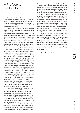#### A Preface to the Exhibition

In his first solo exhibition in Belgium, the well-known German painter André Butzer, who was born in 1973 in Stuttgart and co-founded the notorious artists' group *Akademie Isotrop* in Hamburg, offers an overview of the recent decades of his stillyoung creative output.

Highlighted against the simple white walls of the exhibition spaces at the IKOB, antithetical paintings await the visitor: abstract and colourful pictures alternate with black-and-white pictures. Brightly coloured worlds collide with black surfaces. It is these painterly extremes that have made Butzer one of the most successful painters of his generation. Noise and silence, excess of colour and concentration on the surface, art history and comic books: one frequently encounters oppositions such as these in his pictorial worlds. Whereas the black-and-white pictures initially seem to withdraw from view, there is an immediate forward thrust to the coloured paintings, the strident, variegated figures that resemble comic books or children's drawings. The artist, who lives in Rangsdorf outside of Berlin and considers himself to be the painterly heir to German Expressionism, has specific models ranging from Friedrich Hölderlin past Edvard Munch all the way to Walt Disney. But it would be overly hasty to conclude that the colourful pictures are simply there to be consumed while the only superficially monochrome pictures aim at quiet, time and contemplation. Butzer considers both groups of work to be part of the same struggle. One could also say that they speak the same language in different dialects. His constant concern is painting itself and the question as to what painting is still capable of expressing today. Neologisms such as NASAHEIM, Friedens-Siemens and 'N'-Pictures are more than simply words. They indicate worlds, universes, utopias and visions which Butzer regards as the simultaneous beginning and goal of painting.

A fundamental argument of this exhibition, however, is omission—both the painterly and the narrational gaps that manifest themselves in his works and in the selection of the pictures on display. It is precisely these gaps that allow the visitors to this exhibition to themselves engage in the production of fantasy and to experience space for speculation. In the end, these gaps must also simply be endured.

Moreover, the exhibition is the start of the new annual theme at the IKOB. If in 2017 the political theme of rancour was the leitmotif accompanying visitors through the IKOB year, 2018 will be the year of pragmatism and self-organization —the qualities and capabilities that characterize individuals, groups and nations not only in times of crisis and empower them to engage in action. Butzer, who is represented internationally by many successful galleries and participates year after year in countless museum exhibitions, has created a quite unusual system of autarchy that allows him to retain all processes of exhibition planning and of marketing in his own hands. This is important to him, because otherwise an apparatus of assistants could quite likely insert itself between him and his pictures. This must be avoided by all means so that art can remain art and be lived as an aspect of contemporaneity that engenders meaning and does not simply amass capital.

My thanks go to the team of the IKOB that has once again done outstanding work, to Dr. Thomas Buchsteiner, who (re-)established the contact to André Butzer, to Dr. Christian Malycha for his professional support, as well as to Matthias Hübner from possible.is and Kasper Zwaaneveld, who were responsible for the graphic design. My deepest expression of gratitude, however, goes to André Butzer, the artist who has made this exhibition possible.

Frank-Thorsten Moll

 $\overline{z}$ 

5

André Butzer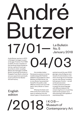## André  $\Gamma$ 17/ Le Bulletin No. 5 January 2018

André Butzer was born in 1973 in Stuttgart; he began to paint at the age of twenty. From 1996 to 2000, he was a member of the Hamburg-based *Akademie Isotrop*, a group of avant-garde artists to which Jonathan Meese also belonged. In 2006, Butzer moved with his family to Rangsdorf near Berlin, where he set up an apartment and studio in part of the former Bücker Aircraft Factory.

He considers Italian Renaissance painters to be his models along with Friedrich Hölderlin, Edvard Munch, Henri Matisse and Walt Disney. Up to now, Butzer has presented himself to the public under diff erent names such as *N-Hölderlin, Henry Butzer* or *Calvin Cohn*.

 $4 \,$ 

Whereas his black-andwhite works from recent years seem to withdraw from the viewer's gaze, in the pictures he

painted around the year 2000 glaringly colourful figures reminiscent of comic books or children's drawings thrust themselves into view. Butzer considers both groups of works —as well as the pictures done in other productive periods to speak the same language with different dialects: His unswerving focus in on painting itself and the question as to what painting is still capable of expressing today.

IKOB— Museum of Contemporary Art /2018

#### English edition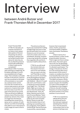# Interview

#### between André Butzer and Frank-Thorsten Moll in December 2017

ワフ

7

Frank-Thorsten Moll (FTM): For decades, art criticism and parts of art history have repeatedly spoken of the end of painting. So without wanting to, painters end up having to justify themselves for what they do. Do you feel this pressure toward self-justification, or does it pass you by completely?

André Butzer (AB): I've always seen painting as a beginning. All European painting is a continuous establishment of beginnings. That is already a principle intrinsic to the picture: a picture can't be conceived on the basis of its conclusion; or we could say a picture never comes to an end. So it would now of course make sense to ask what a picture is. It seems that today it's not so easy to put this concept of the picture into words. There are all sorts of different notions; most of the time when people say 'picture', they mean an image from the Internet, something that comes from a spray can or a camera. Or with 'picture' you think of something that refers to you in the sense of a self-image you want to find or create.

The picture as that profound, sad, essential form telling of beginnings and more or less derived spiritually from ancient Greece is a sort of universal matrix for artistic vision. It is a ceaselessly vibrating, constantly recurring, fertile form of being that engenders life and the future; but it itself is without form.

FTM: Do you still recall the moment when you first stood in front of a work of art and realized that you want to do that too? Paint! Be an artist? AB: I was around 14, most likely at the Staatsgalerie Stuttgart. I saw G eorg Baselitz, *Painter with Sailboat—Munch*, if I recall well, and Lucio Fontana. Later in Hamburg at the Kunsthalle, I saw Asger Jorn, *The Green Ballet*. Right up to today, I do more or less the whole thing, plus Rembrandt, Titian, Raphael, Cézanne and so forth, and of course Matisse. Taken together, this is what is known today by the name of André Butzer. Disney as well. But also the intuition that art isn't painting, but something more. For a long time, I have called it 'NASAHEIM'. Eternal Parousia. A second life, a second death,

however that is expressed: colour, rhythm, proportion, commensurability, enlightenment, illumination. Revelation, actually.

I think in terms of coloured surfaces. In other words, proportionately. Harmony. That's tragic, but there is always birth, fruits. The matrix gives rise to this. So I do genealogy; or more precisely, I collaborate, I'm allowed to participate. The energy in the picture, the forces in the universe allow me to become part of this cycle of creation, an endless loop that is truly beautiful. But it also causes me pain; that's the way I am. This depth and space, infinity, proximity, the home: everything causes me pain, the instability. I'm a part of this energetic arc. The depiction is the category of this arc, the self-renewing frequency. It comes and goes in the same moment; it isn't time, it switches. It turns time off.

> FTM: In my experience, talking about pictures (in the plural) has for the most part replaced speaking about the picture. The only persons continuing to work on the picture or perhaps even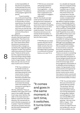on the impossibility of the picture are painters. Is that perhaps the most elegant characteristic of the painter? The defence of the singular against the plural?

To put it another way: Is the end of painting a capitulation in response to the plurality of visual experiences, the simultaneity of all images on all channels? I'd be interested in how you see the role of the painter in particular and not of the artist in general.

AB: Painters are in a hopeless situation. But that's good and appropriate. They have to be there where the need is greatest. That means there where the picture is received as an inheritance like a dangerous, wonderful, life-engendering set of goods. It's clear that painters need many pictures for this purpose. These are all the same; but they repeat themselves so that everything is always beginning and uniqueness. Every picture is a huge mistake—thank God, one can only say. It's not easy to paint such a mistake.

> FTM: Your exhibition at the IKOB includes selections from your early paintings along with more recent works. It seems to me as if you had deliberately excluded what occurred in-between in painterly terms in order to increase the energy within the exhibition and among your paintings. Is that the case?

AB: Yes, definitely! This is an exhibition with a gap of 15 to 20 years in the middle. Although it isn't clear what I did first, the older or the newer pictures. I believe I came from the other direction. So I started with an end. In the late young years, so to speak. I hope the exhibition will call into question what people think about development and chronology.

FTM: Are you concerned with giving expression to an empty space, to the imagination—or less pathetically, to something that is supposed to provoke visitors to engage in reflection?

AB: No. Everybody can take a look at home at what I did during the time in between: in books or computers. It took some time to sink to the depths. That can be seen in our show. But I still have a chance to evade the abyss. The truth of the picture serves as an extremely fertile foundation. A placenta, as it were; today the term for that is matrix.

> FTM: What do you mean exactly with the truth of the picture? Is it an inviolable veracity that constantly resonates from the beginnings of painting in a continuum of human history, so to say? Or is

"It comes and goes in the same moment; it isn't time, it switches. It turns time  $\mathsf{off}"$ 

it a valuable set of goods that are constantly being renegotiated? Or to put it another way: is 'NASA-HEIM' the site where the Holy Grail of this truth is preserved or the site where it is constantly renovated, complemented and extended further? AB: Without ongoing renegotiations or rebalancing, there is no continuum. Establishing the new is a triggering of the action of the continuum. NASAHEIM is only one option that offers itself. People like me as well as quite different fans tune in and gain experience of a golden continuum. It's a wonderful possibility for taking something up and summarizing it. But although it isn't possible to get past N itself, NASAHEIM is fully accessible and available to one and all as a scenario. Everyone understands it and can benefit somehow from it. There is no secret or something technical or complicated. It is pure irrationality and points us human beings towards that sort of irrationality which, however, is full of intrinsic logic, full of encouragement and empathy. It is utilizable and promising as a utopia. It brings people to their actual activity and capacity for action, in the sense of a truly human motion and an action that imparts rhythm, sound and recurrence to proportion and to the commensurability of colour.

> FTM: You act internationally as an extremely successful German painter. The attribute 'German' accompanies you with utter plausibility without your having requested it or being able to defend yourself against it. Have you noticed differences in the reaction to your painting—let's say in the USA or Japan—that have to do with your country of origin? How do you handle your role, never fully avoidable, as the

 $\overline{E}$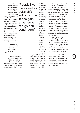5 EN  $\overline{z}$ 

9

of a supposedly German style? I you must abhor Is that the case? AB: I'm moving now, to America. There, just like at home, I'll be the only German Expressionist. With regard to my first name, it sounds like I'm French. So Matisse, Cézanne and so forth.

representative

What counts is the mixture. I don't get much praise in Germany for what I do. That's okay. I receive lots of attention in foreign countries.

FTM: Have you had any concrete experiences with a Belgian audience? AB: No.

FTM: What do you associate specifically with

Belgian art or with the Belgian art scene? AB: Not so much. Sorry. But I'm a one-track person who doesn't notice much of what's going on.

German style?  $\bigcap_{\text{can imagine that}}$  me as well as you must abhor quite differ-"People like ent fans tune in and gain experience of a golden continuum"

FTM: To be honest, I don't really believe you; but from my point of view, it's quite a plus for you that you didn't mention Magritte. The patron saint of Belgian art can be felt to be inspiring or oppressive in equal measure. It seems to me that his Surrealism derived from language has become the writing on the wall of

Belgian art. In this country, there is no talking or thinking about art without a distinction from or comparison with Magritte. The same is true in Germany with the figure of Beuys. How do you deal with his-

torical figures like that? AB: Oh yeah. I'd forgotten or had guessed that there was something related to Surrealism and so forth. It's always difficult for me to engage in name-dropping when I'm not familiar with it. For example, with Marcel Brothase. And anyway, everybody is so super-informed about art today. It's become a quite common expertise. As for Surrealism, I'm not so knowledgeable. That's really not my thing. And I have real difficulty with preceding language. I read a lot, but it's not a good idea to turn your great reading material into the Fine Arts.

I don't believe that Baselitz or Förg are Germans. What both of them were able to more or less preserve is an international or at least traditional European, best of all Venetian element. I always say 'expressive element' in this regard. But that's confusing. Everybody then thinks that automatically means a lively style or Wild Painting and so forth. But Mondrian is also like this. That element is the actual legacy or the aforementioned continuum, subsequently considered to be post-Cézannish.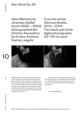*Saint Matthew by Jeremias Geißelbrunn (1595—1660), photographed like Dimitris Alexandrou by Errikos Andreou* Sophie Langohr

#### From the series *Glorious Bodies*, 2013—2014, Two black and white digital photographs, 33 × 45 cm each



Sophie Langohr uses all the artifices of professional shooting and studio work to transfer the glory and fame of the models and celebrities of today to these saints carved by Jeremias Geißelbrunn in around 1640 for the Friars Minor Conventual Church in Cologne, now standing on corbels in the St. Nicholas Church in Eupen. Here are the icons of the Apostles, posing for this unexpected second (of) eternity. […]

St. Matthew, the dark introverted one, has only to get a tatoo of a living dead on the shoulder or a Christ-like face crowned with thorns on the arm to fully resemble the Greek model Dimitris Alexandrou.

Jean-Michel Botquin

 $\overline{E}$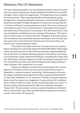11

 $\overline{z}$ 

#### Glossary, Part III: Nasaheim

"Art has a dissolving aspect; it is something that seeks to leave the earth and turn toward the heavens." Butzer detaches himself from the earthly and goes "there, where the beginning is. The beginning is the complete, the entire picture." After exposing himself to all experiences, going through them, and giving painterly expression to the full relationship between life and death through the figures in his pictures, he searches for a "world to call home," a protected place to stay. This home, however, is not located on earth. It is an invention that is "everywhere and nowhere" and exists only in the picture. It is precisely in this self-aware fiction, however, that Butzer establishes his own concept of the picture. "This starts with N, which is also an irrational number. "N begins" at the point where all contradictions are combined, become interwoven, and mutually support each other. A new dimension that he yearns for everywhere, yet knows to be "nowhere else but within."

From there, from deep within him, the seat of his own mystery, Butzer develops the cosmically distant NASAHEIM (2001). With bright, widely opened eyes and a head of almost planetary magnitude like the size of the earth, a Friedens-Siemens appears in the picture. As if rising out of a blazing, orange-red ground of flames, it ascends into a clear, blue sky. Attentively, it directs its gaze to a small "something" hovering in front of it. It stretches out both arms with trembling hands, fingers spread in order to grasp it. But, apparently, to no avail.

Inasmuch as Butzer envisions his own painting as the "cosmic depiction of another world," does the entire pictorial event occur in Nasa heim, or does the evasive "something" withdrawing into the cerulean space symbolize the proportions of that mysterious place? What is, what does "Nasaheim" or "N" stand for? "'NASA' is extreme distance; what occurs far away, in our imagination," beyond the world. In addition, there is *Heim* ("home"); in other words: "something quite near, warm," or human. Earthly and extraterrestrial. With the composite neologism, "Nasa-Heim," Butzer already conveys a state of equilibrium and identifies an "untouched" site, where all suffering finds solace and comes to an end. That is what "N" stands for.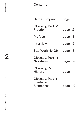#### **Contents**

| Dates + Imprint                                     | page 1 |    |
|-----------------------------------------------------|--------|----|
| Glossary, Part IV:<br>Freedom                       | page 2 |    |
| Preface                                             | page 3 |    |
| Interview                                           | page   | 5  |
| Star Work No. 26                                    | page 8 |    |
| Glossary, Part III:<br>Nasaheim                     | page   |    |
| Glossary, Part I:<br>History                        | page   |    |
| Glossary, Part II:<br>Friedens-<br><b>Siemenses</b> | page   | 12 |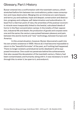13

 $\overline{z}$ 

### Glossary, Part I: History

Butzer entered into a confrontation with the twentieth century, which stretched before him between two contradictory poles: mass consumption and mass destruction. Merging into an immense arc were beauty and terror, joy and sadness, hope and despair, construction and destruction, progress and collapse, self-determination and subordination. At least from a German point of view, the amenities of the postwar economic miracle were inseparably linked to the bestial, calculated deeds of horror in the Nazi concentration camps. In the totality of their opposition, industrial life and death, the production of goods and corpses were one and the same; the century was poised between pleasure and pain, between the atomic bomb and "new" technology, between Europe and America.

In this unreal situation, however, Butzer discovered a path into his own artistic existence in 1999. Above all, it had become impossible to return to the "beautiful formulas" of the past, as if nothing had happened. There no longer existed a preindustrial world, idealized in all its supposed innocence. One could not penetrate behind the achievements that also caused the devastation of the twentieth century. History had been contaminated, and humanity along with it. It was necessary to work through this: to enter it, be open to it, and endure it.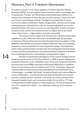#### Glossary, Part II: Friedens-Siemenses

At a place named "Love," there appears *Friedens-Siemens* (Peace-Siemens, 2000). It is an imaginary site of dreams, which, revealingly, lies "in protection-Florida," as if Walt Disney World had been shifted in its entirety from Orlando, Florida, directly into the "cosmos," where the "sun" and "moon" were already waiting. The figure is located left of center, but it is not clearly rendered or easily recognizable. Like the surrounding colored ground, it dissolves into thin air and spreads gently across the pictorial surface. No color, no word, no one thing after another remains around it; what comes into existence here is a figure that is surmised rather than known—a figure that is actually impossible.

The picture has no depth, but has become a dense surface held together by color. After the world was irremediably lost, for example, in *American Physical Exercise,* its individual elements now gather at this different-natured site around the Friedens-Siemens; they are intimately related to it and connected to it in an expansive sweep. The dissonant clash of the world has been transformed. Everything has found its place; in spite of all the contradictions, the pictorial whole is balanced. Amid all the contesting elements, reconciliation unexpectedly reigns.

Written or burned into the figure are the names of large international companies such as VW, Sony, Bosch, or IBM. It openly displays its industrial character, even multiplied many times over, inasmuch as there are more and more IBMs, International Business Machines. In addition, there are rhombuses with an emblazoned "H" for "hydrogen," diagonal crosses, piles of ovals and records resembling circuit boards, all sorts of beverages—a simple "soft drink," as well as Sinalco and various Mezzomixes or Mirandas—comparatively everyday foodstuffs such as beef, carrots, or beans (which, however, in proximity to a blue-pointed rhombus seem equally blue), and numerous smaller forms with an "H" that are reminiscent of pills, tablets, or other sedatives. On one of these forms is an "N," a symbol for infinity—an indefinite, unnatural, and irrational number.

14